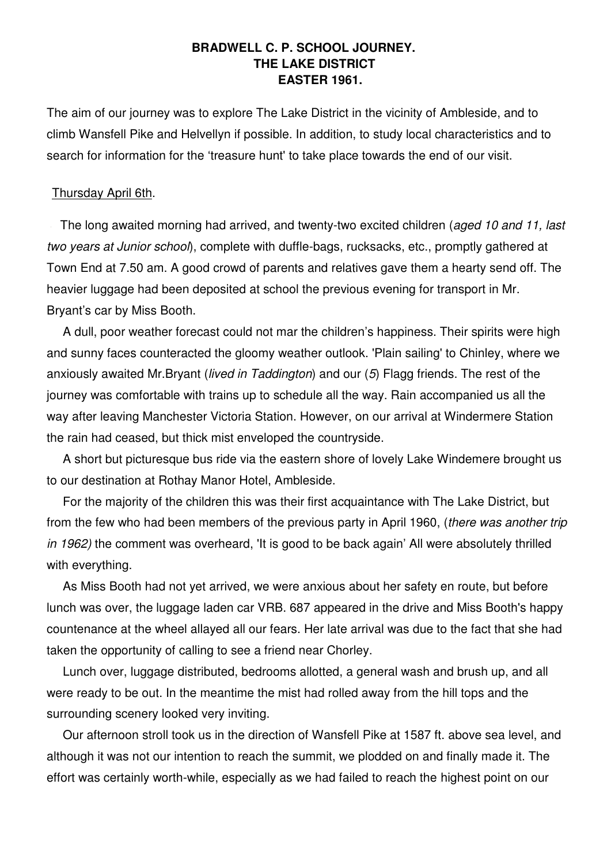## **BRADWELL C. P. SCHOOL JOURNEY. THE LAKE DISTRICT EASTER 1961.**

The aim of our journey was to explore The Lake District in the vicinity of Ambleside, and to climb Wansfell Pike and Helvellyn if possible. In addition, to study local characteristics and to search for information for the 'treasure hunt' to take place towards the end of our visit.

#### Thursday April 6th.

The long awaited morning had arrived, and twenty-two excited children (aged 10 and 11, last two years at Junior school), complete with duffle-bags, rucksacks, etc., promptly gathered at Town End at 7.50 am. A good crowd of parents and relatives gave them a hearty send off. The heavier luggage had been deposited at school the previous evening for transport in Mr. Bryant's car by Miss Booth.

A dull, poor weather forecast could not mar the children's happiness. Their spirits were high and sunny faces counteracted the gloomy weather outlook. 'Plain sailing' to Chinley, where we anxiously awaited Mr.Bryant (lived in Taddington) and our (5) Flagg friends. The rest of the journey was comfortable with trains up to schedule all the way. Rain accompanied us all the way after leaving Manchester Victoria Station. However, on our arrival at Windermere Station the rain had ceased, but thick mist enveloped the countryside.

A short but picturesque bus ride via the eastern shore of lovely Lake Windemere brought us to our destination at Rothay Manor Hotel, Ambleside.

For the majority of the children this was their first acquaintance with The Lake District, but from the few who had been members of the previous party in April 1960, (there was another trip in 1962) the comment was overheard, 'It is good to be back again' All were absolutely thrilled with everything.

As Miss Booth had not yet arrived, we were anxious about her safety en route, but before lunch was over, the luggage laden car VRB. 687 appeared in the drive and Miss Booth's happy countenance at the wheel allayed all our fears. Her late arrival was due to the fact that she had taken the opportunity of calling to see a friend near Chorley.

Lunch over, luggage distributed, bedrooms allotted, a general wash and brush up, and all were ready to be out. In the meantime the mist had rolled away from the hill tops and the surrounding scenery looked very inviting.

Our afternoon stroll took us in the direction of Wansfell Pike at 1587 ft. above sea level, and although it was not our intention to reach the summit, we plodded on and finally made it. The effort was certainly worth-while, especially as we had failed to reach the highest point on our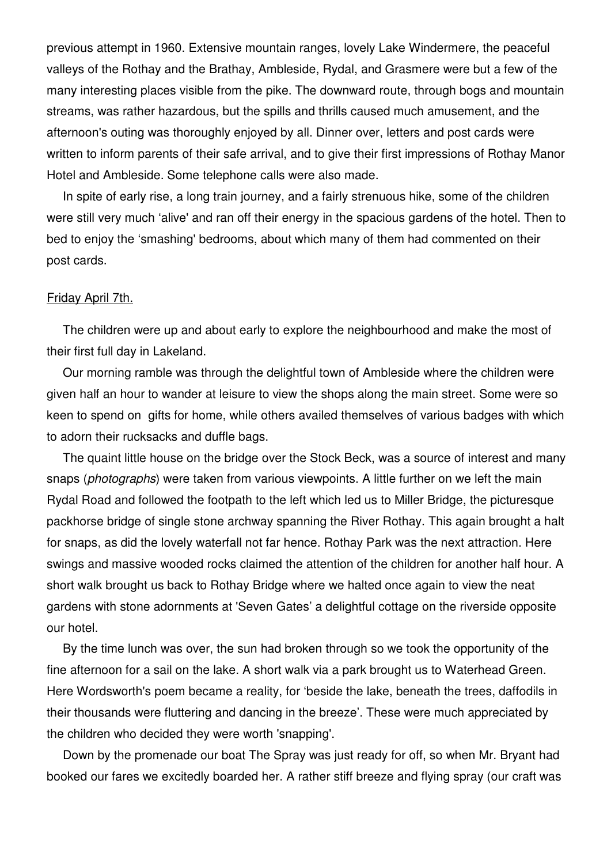previous attempt in 1960. Extensive mountain ranges, lovely Lake Windermere, the peaceful valleys of the Rothay and the Brathay, Ambleside, Rydal, and Grasmere were but a few of the many interesting places visible from the pike. The downward route, through bogs and mountain streams, was rather hazardous, but the spills and thrills caused much amusement, and the afternoon's outing was thoroughly enjoyed by all. Dinner over, letters and post cards were written to inform parents of their safe arrival, and to give their first impressions of Rothay Manor Hotel and Ambleside. Some telephone calls were also made.

In spite of early rise, a long train journey, and a fairly strenuous hike, some of the children were still very much 'alive' and ran off their energy in the spacious gardens of the hotel. Then to bed to enjoy the 'smashing' bedrooms, about which many of them had commented on their post cards.

#### Friday April 7th.

The children were up and about early to explore the neighbourhood and make the most of their first full day in Lakeland.

Our morning ramble was through the delightful town of Ambleside where the children were given half an hour to wander at leisure to view the shops along the main street. Some were so keen to spend on gifts for home, while others availed themselves of various badges with which to adorn their rucksacks and duffle bags.

The quaint little house on the bridge over the Stock Beck, was a source of interest and many snaps (*photographs*) were taken from various viewpoints. A little further on we left the main Rydal Road and followed the footpath to the left which led us to Miller Bridge, the picturesque packhorse bridge of single stone archway spanning the River Rothay. This again brought a halt for snaps, as did the lovely waterfall not far hence. Rothay Park was the next attraction. Here swings and massive wooded rocks claimed the attention of the children for another half hour. A short walk brought us back to Rothay Bridge where we halted once again to view the neat gardens with stone adornments at 'Seven Gates' a delightful cottage on the riverside opposite our hotel.

By the time lunch was over, the sun had broken through so we took the opportunity of the fine afternoon for a sail on the lake. A short walk via a park brought us to Waterhead Green. Here Wordsworth's poem became a reality, for 'beside the lake, beneath the trees, daffodils in their thousands were fluttering and dancing in the breeze'. These were much appreciated by the children who decided they were worth 'snapping'.

Down by the promenade our boat The Spray was just ready for off, so when Mr. Bryant had booked our fares we excitedly boarded her. A rather stiff breeze and flying spray (our craft was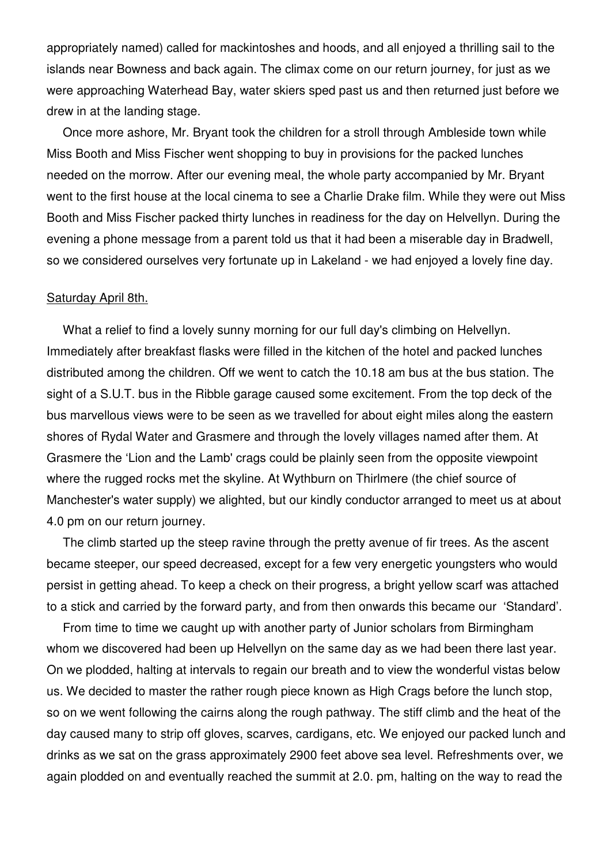appropriately named) called for mackintoshes and hoods, and all enjoyed a thrilling sail to the islands near Bowness and back again. The climax come on our return journey, for just as we were approaching Waterhead Bay, water skiers sped past us and then returned just before we drew in at the landing stage.

Once more ashore, Mr. Bryant took the children for a stroll through Ambleside town while Miss Booth and Miss Fischer went shopping to buy in provisions for the packed lunches needed on the morrow. After our evening meal, the whole party accompanied by Mr. Bryant went to the first house at the local cinema to see a Charlie Drake film. While they were out Miss Booth and Miss Fischer packed thirty lunches in readiness for the day on Helvellyn. During the evening a phone message from a parent told us that it had been a miserable day in Bradwell, so we considered ourselves very fortunate up in Lakeland - we had enjoyed a lovely fine day.

#### Saturday April 8th.

What a relief to find a lovely sunny morning for our full day's climbing on Helvellyn. Immediately after breakfast flasks were filled in the kitchen of the hotel and packed lunches distributed among the children. Off we went to catch the 10.18 am bus at the bus station. The sight of a S.U.T. bus in the Ribble garage caused some excitement. From the top deck of the bus marvellous views were to be seen as we travelled for about eight miles along the eastern shores of Rydal Water and Grasmere and through the lovely villages named after them. At Grasmere the 'Lion and the Lamb' crags could be plainly seen from the opposite viewpoint where the rugged rocks met the skyline. At Wythburn on Thirlmere (the chief source of Manchester's water supply) we alighted, but our kindly conductor arranged to meet us at about 4.0 pm on our return journey.

The climb started up the steep ravine through the pretty avenue of fir trees. As the ascent became steeper, our speed decreased, except for a few very energetic youngsters who would persist in getting ahead. To keep a check on their progress, a bright yellow scarf was attached to a stick and carried by the forward party, and from then onwards this became our 'Standard'.

From time to time we caught up with another party of Junior scholars from Birmingham whom we discovered had been up Helvellyn on the same day as we had been there last year. On we plodded, halting at intervals to regain our breath and to view the wonderful vistas below us. We decided to master the rather rough piece known as High Crags before the lunch stop, so on we went following the cairns along the rough pathway. The stiff climb and the heat of the day caused many to strip off gloves, scarves, cardigans, etc. We enjoyed our packed lunch and drinks as we sat on the grass approximately 2900 feet above sea level. Refreshments over, we again plodded on and eventually reached the summit at 2.0. pm, halting on the way to read the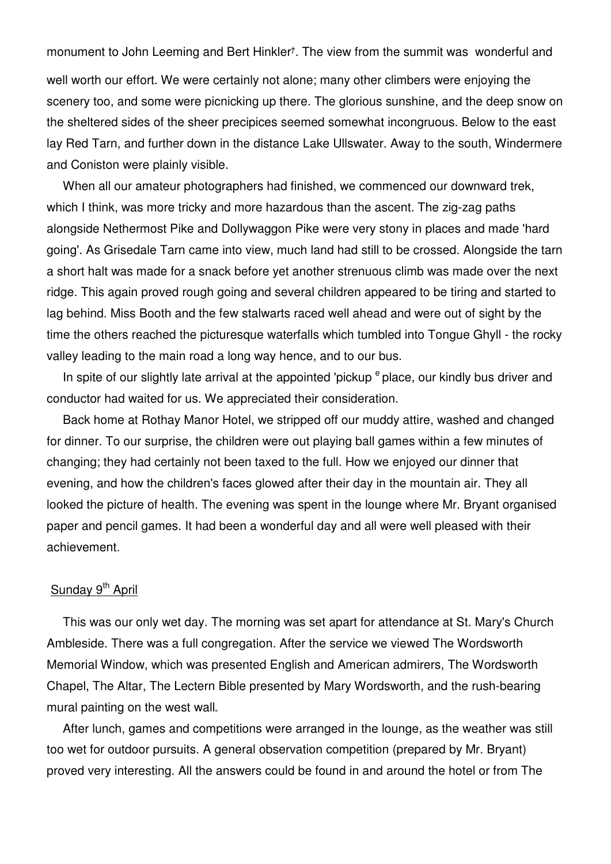monument to John Leeming and Bert Hinkler<sup>+</sup>. The view from the summit was wonderful and well worth our effort. We were certainly not alone; many other climbers were enjoying the scenery too, and some were picnicking up there. The glorious sunshine, and the deep snow on the sheltered sides of the sheer precipices seemed somewhat incongruous. Below to the east lay Red Tarn, and further down in the distance Lake Ullswater. Away to the south, Windermere and Coniston were plainly visible.

When all our amateur photographers had finished, we commenced our downward trek, which I think, was more tricky and more hazardous than the ascent. The zig-zag paths alongside Nethermost Pike and Dollywaggon Pike were very stony in places and made 'hard going'. As Grisedale Tarn came into view, much land had still to be crossed. Alongside the tarn a short halt was made for a snack before yet another strenuous climb was made over the next ridge. This again proved rough going and several children appeared to be tiring and started to lag behind. Miss Booth and the few stalwarts raced well ahead and were out of sight by the time the others reached the picturesque waterfalls which tumbled into Tongue Ghyll - the rocky valley leading to the main road a long way hence, and to our bus.

In spite of our slightly late arrival at the appointed 'pickup  $e^e$  place, our kindly bus driver and conductor had waited for us. We appreciated their consideration.

Back home at Rothay Manor Hotel, we stripped off our muddy attire, washed and changed for dinner. To our surprise, the children were out playing ball games within a few minutes of changing; they had certainly not been taxed to the full. How we enjoyed our dinner that evening, and how the children's faces glowed after their day in the mountain air. They all looked the picture of health. The evening was spent in the lounge where Mr. Bryant organised paper and pencil games. It had been a wonderful day and all were well pleased with their achievement.

## Sunday 9<sup>th</sup> April

This was our only wet day. The morning was set apart for attendance at St. Mary's Church Ambleside. There was a full congregation. After the service we viewed The Wordsworth Memorial Window, which was presented English and American admirers, The Wordsworth Chapel, The Altar, The Lectern Bible presented by Mary Wordsworth, and the rush-bearing mural painting on the west wall

After lunch, games and competitions were arranged in the lounge, as the weather was still too wet for outdoor pursuits. A general observation competition (prepared by Mr. Bryant) proved very interesting. All the answers could be found in and around the hotel or from The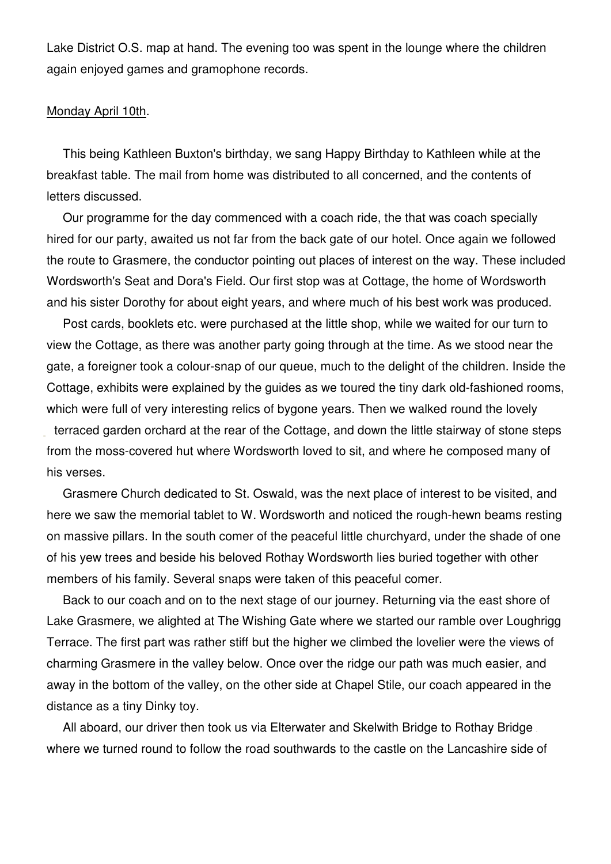Lake District O.S. map at hand. The evening too was spent in the lounge where the children again enjoyed games and gramophone records.

## Monday April 10th.

This being Kathleen Buxton's birthday, we sang Happy Birthday to Kathleen while at the breakfast table. The mail from home was distributed to all concerned, and the contents of letters discussed.

Our programme for the day commenced with a coach ride, the that was coach specially hired for our party, awaited us not far from the back gate of our hotel. Once again we followed the route to Grasmere, the conductor pointing out places of interest on the way. These included Wordsworth's Seat and Dora's Field. Our first stop was at Cottage, the home of Wordsworth and his sister Dorothy for about eight years, and where much of his best work was produced.

Post cards, booklets etc. were purchased at the little shop, while we waited for our turn to view the Cottage, as there was another party going through at the time. As we stood near the gate, a foreigner took a colour-snap of our queue, much to the delight of the children. Inside the Cottage, exhibits were explained by the guides as we toured the tiny dark old-fashioned rooms, which were full of very interesting relics of bygone years. Then we walked round the lovely terraced garden orchard at the rear of the Cottage, and down the little stairway of stone steps

from the moss-covered hut where Wordsworth loved to sit, and where he composed many of his verses.

Grasmere Church dedicated to St. Oswald, was the next place of interest to be visited, and here we saw the memorial tablet to W. Wordsworth and noticed the rough-hewn beams resting on massive pillars. In the south comer of the peaceful little churchyard, under the shade of one of his yew trees and beside his beloved Rothay Wordsworth lies buried together with other members of his family. Several snaps were taken of this peaceful comer.

Back to our coach and on to the next stage of our journey. Returning via the east shore of Lake Grasmere, we alighted at The Wishing Gate where we started our ramble over Loughrigg Terrace. The first part was rather stiff but the higher we climbed the lovelier were the views of charming Grasmere in the valley below. Once over the ridge our path was much easier, and away in the bottom of the valley, on the other side at Chapel Stile, our coach appeared in the distance as a tiny Dinky toy.

All aboard, our driver then took us via Elterwater and Skelwith Bridge to Rothay Bridge where we turned round to follow the road southwards to the castle on the Lancashire side of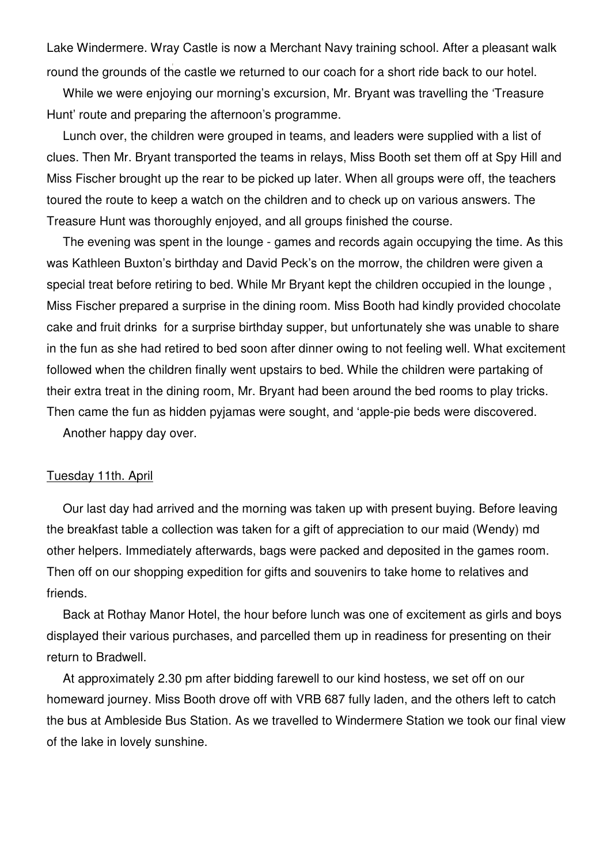Lake Windermere. Wray Castle is now a Merchant Navy training school. After a pleasant walk round the grounds of the castle we returned to our coach for a short ride back to our hotel.

While we were enjoying our morning's excursion, Mr. Bryant was travelling the 'Treasure Hunt' route and preparing the afternoon's programme.

Lunch over, the children were grouped in teams, and leaders were supplied with a list of clues. Then Mr. Bryant transported the teams in relays, Miss Booth set them off at Spy Hill and Miss Fischer brought up the rear to be picked up later. When all groups were off, the teachers toured the route to keep a watch on the children and to check up on various answers. The Treasure Hunt was thoroughly enjoyed, and all groups finished the course.

The evening was spent in the lounge - games and records again occupying the time. As this was Kathleen Buxton's birthday and David Peck's on the morrow, the children were given a special treat before retiring to bed. While Mr Bryant kept the children occupied in the lounge , Miss Fischer prepared a surprise in the dining room. Miss Booth had kindly provided chocolate cake and fruit drinks for a surprise birthday supper, but unfortunately she was unable to share in the fun as she had retired to bed soon after dinner owing to not feeling well. What excitement followed when the children finally went upstairs to bed. While the children were partaking of their extra treat in the dining room, Mr. Bryant had been around the bed rooms to play tricks. Then came the fun as hidden pyjamas were sought, and 'apple-pie beds were discovered.

Another happy day over.

#### Tuesday 11th. April

Our last day had arrived and the morning was taken up with present buying. Before leaving the breakfast table a collection was taken for a gift of appreciation to our maid (Wendy) md other helpers. Immediately afterwards, bags were packed and deposited in the games room. Then off on our shopping expedition for gifts and souvenirs to take home to relatives and friends.

Back at Rothay Manor Hotel, the hour before lunch was one of excitement as girls and boys displayed their various purchases, and parcelled them up in readiness for presenting on their return to Bradwell.

At approximately 2.30 pm after bidding farewell to our kind hostess, we set off on our homeward journey. Miss Booth drove off with VRB 687 fully laden, and the others left to catch the bus at Ambleside Bus Station. As we travelled to Windermere Station we took our final view of the lake in lovely sunshine.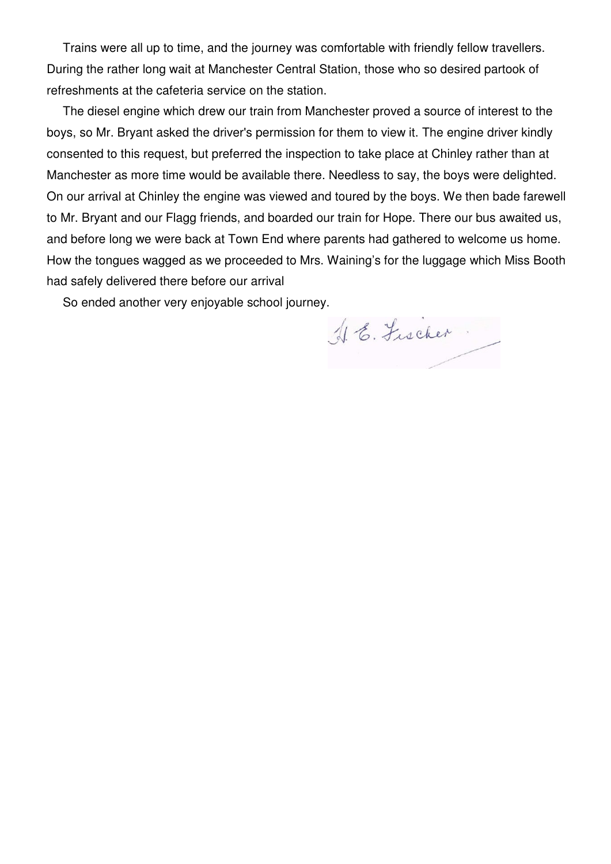Trains were all up to time, and the journey was comfortable with friendly fellow travellers. During the rather long wait at Manchester Central Station, those who so desired partook of refreshments at the cafeteria service on the station.

The diesel engine which drew our train from Manchester proved a source of interest to the boys, so Mr. Bryant asked the driver's permission for them to view it. The engine driver kindly consented to this request, but preferred the inspection to take place at Chinley rather than at Manchester as more time would be available there. Needless to say, the boys were delighted. On our arrival at Chinley the engine was viewed and toured by the boys. We then bade farewell to Mr. Bryant and our Flagg friends, and boarded our train for Hope. There our bus awaited us, and before long we were back at Town End where parents had gathered to welcome us home. How the tongues wagged as we proceeded to Mrs. Waining's for the luggage which Miss Booth had safely delivered there before our arrival

So ended another very enjoyable school journey.

16. Fischer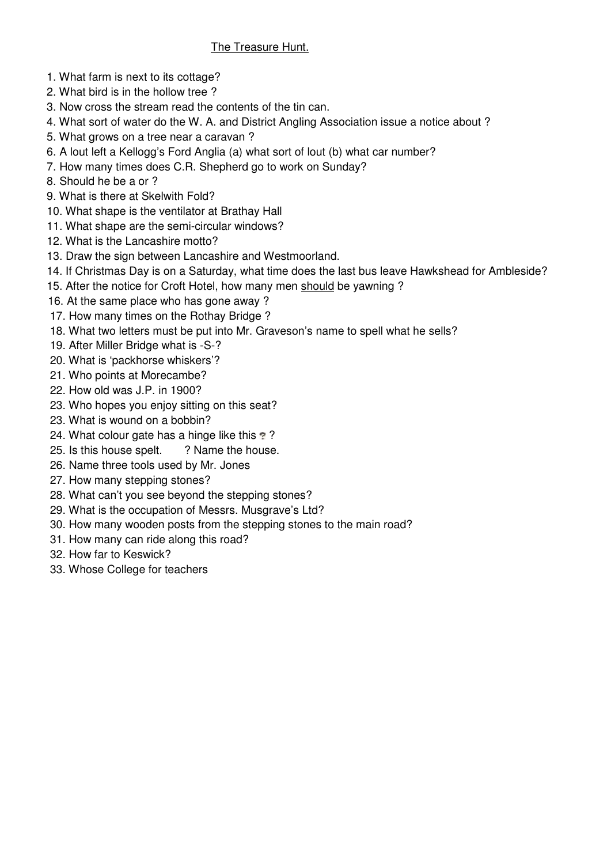# The Treasure Hunt.

- 1. What farm is next to its cottage?
- 2. What bird is in the hollow tree ?
- 3. Now cross the stream read the contents of the tin can.
- 4. What sort of water do the W. A. and District Angling Association issue a notice about ?
- 5. What grows on a tree near a caravan ?
- 6. A lout left a Kellogg's Ford Anglia (a) what sort of lout (b) what car number?
- 7. How many times does C.R. Shepherd go to work on Sunday?
- 8. Should he be a or ?
- 9. What is there at Skelwith Fold?
- 10. What shape is the ventilator at Brathay Hall
- 11. What shape are the semi-circular windows?
- 12. What is the Lancashire motto?
- 13. Draw the sign between Lancashire and Westmoorland.
- 14. If Christmas Day is on a Saturday, what time does the last bus leave Hawkshead for Ambleside?
- 15. After the notice for Croft Hotel, how many men should be yawning ?
- 16. At the same place who has gone away ?
- 17. How many times on the Rothay Bridge ?
- 18. What two letters must be put into Mr. Graveson's name to spell what he sells?
- 19. After Miller Bridge what is -S-?
- 20. What is 'packhorse whiskers'?
- 21. Who points at Morecambe?
- 22. How old was J.P. in 1900?
- 23. Who hopes you enjoy sitting on this seat?
- 23. What is wound on a bobbin?
- 24. What colour gate has a hinge like this ??
- 25. Is this house spelt. ? Name the house.
- 26. Name three tools used by Mr. Jones
- 27. How many stepping stones?
- 28. What can't you see beyond the stepping stones?
- 29. What is the occupation of Messrs. Musgrave's Ltd?
- 30. How many wooden posts from the stepping stones to the main road?
- 31. How many can ride along this road?
- 32. How far to Keswick?
- 33. Whose College for teachers